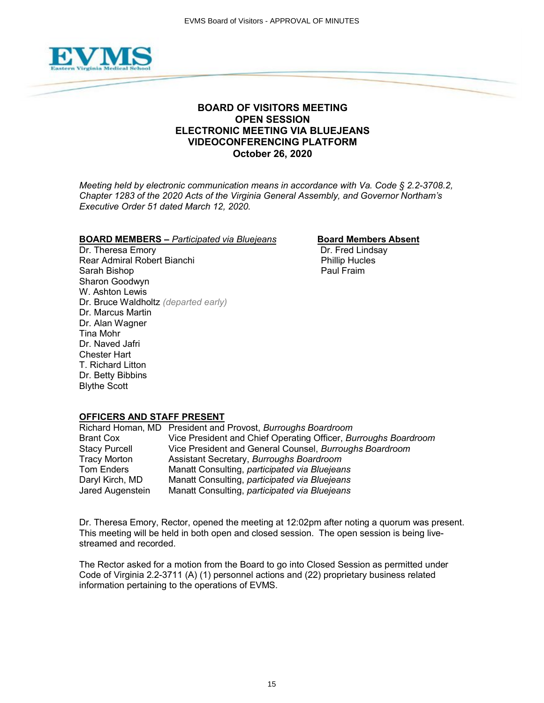

# **BOARD OF VISITORS MEETING OPEN SESSION ELECTRONIC MEETING VIA BLUEJEANS VIDEOCONFERENCING PLATFORM October 26, 2020**

*Meeting held by electronic communication means in accordance with Va. Code § 2.2-3708.2, Chapter 1283 of the 2020 Acts of the Virginia General Assembly, and Governor Northam's Executive Order 51 dated March 12, 2020.*

# **BOARD MEMBERS –** *Participated via Bluejeans* **Board Members Absent**<br>Dr. Theresa Emory **Board Lindsay**

Dr. Theresa Emory Rear Admiral Robert Bianchi **Phillip Hucles** Phillip Hucles Sarah Bishop **Paul Fraim** Paul Fraim Sharon Goodwyn W. Ashton Lewis Dr. Bruce Waldholtz *(departed early)* Dr. Marcus Martin Dr. Alan Wagner Tina Mohr Dr. Naved Jafri Chester Hart T. Richard Litton Dr. Betty Bibbins Blythe Scott

### **OFFICERS AND STAFF PRESENT**

|                      | Richard Homan, MD President and Provost, Burroughs Boardroom    |
|----------------------|-----------------------------------------------------------------|
| <b>Brant Cox</b>     | Vice President and Chief Operating Officer, Burroughs Boardroom |
| <b>Stacy Purcell</b> | Vice President and General Counsel, Burroughs Boardroom         |
| <b>Tracy Morton</b>  | Assistant Secretary, Burroughs Boardroom                        |
| Tom Enders           | Manatt Consulting, participated via Bluejeans                   |
| Daryl Kirch, MD      | Manatt Consulting, participated via Bluejeans                   |
| Jared Augenstein     | Manatt Consulting, participated via Bluejeans                   |

Dr. Theresa Emory, Rector, opened the meeting at 12:02pm after noting a quorum was present. This meeting will be held in both open and closed session. The open session is being livestreamed and recorded.

The Rector asked for a motion from the Board to go into Closed Session as permitted under Code of Virginia 2.2-3711 (A) (1) personnel actions and (22) proprietary business related information pertaining to the operations of EVMS.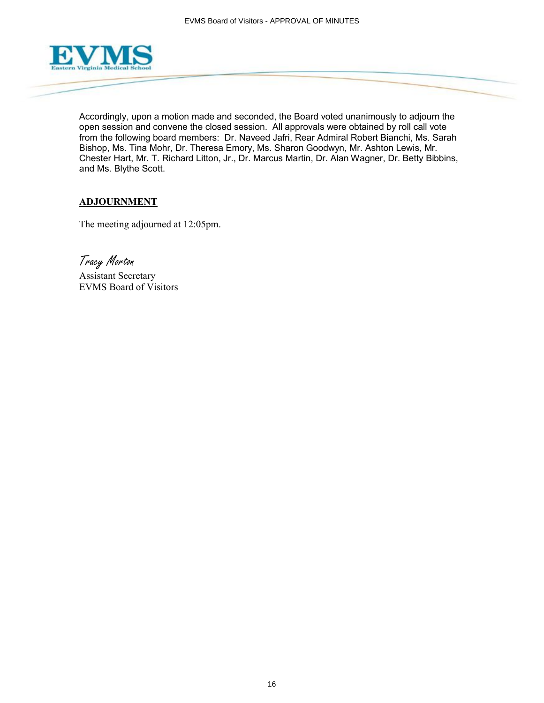

Accordingly, upon a motion made and seconded, the Board voted unanimously to adjourn the open session and convene the closed session. All approvals were obtained by roll call vote from the following board members: Dr. Naveed Jafri, Rear Admiral Robert Bianchi, Ms. Sarah Bishop, Ms. Tina Mohr, Dr. Theresa Emory, Ms. Sharon Goodwyn, Mr. Ashton Lewis, Mr. Chester Hart, Mr. T. Richard Litton, Jr., Dr. Marcus Martin, Dr. Alan Wagner, Dr. Betty Bibbins, and Ms. Blythe Scott.

# **ADJOURNMENT**

The meeting adjourned at 12:05pm.

Tracy Morton

Assistant Secretary EVMS Board of Visitors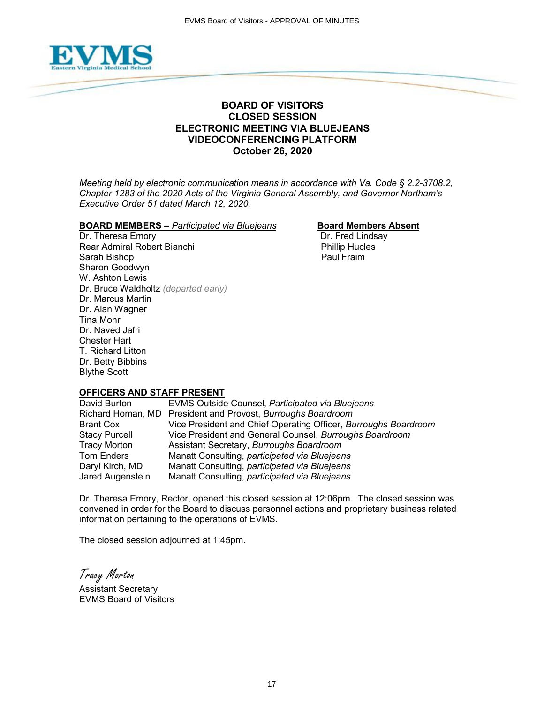

## **BOARD OF VISITORS CLOSED SESSION ELECTRONIC MEETING VIA BLUEJEANS VIDEOCONFERENCING PLATFORM October 26, 2020**

*Meeting held by electronic communication means in accordance with Va. Code § 2.2-3708.2, Chapter 1283 of the 2020 Acts of the Virginia General Assembly, and Governor Northam's Executive Order 51 dated March 12, 2020.*

### **BOARD MEMBERS –** *Participated via Bluejeans* **Board Members Absent**

Dr. Theresa Emory **Dr. Fred Lindsay** Rear Admiral Robert Bianchi **Phillip Hucles** Sarah Bishop **Paul Fraim** Paul Fraim Sharon Goodwyn W. Ashton Lewis Dr. Bruce Waldholtz *(departed early)* Dr. Marcus Martin Dr. Alan Wagner Tina Mohr Dr. Naved Jafri Chester Hart T. Richard Litton Dr. Betty Bibbins Blythe Scott

### **OFFICERS AND STAFF PRESENT**

David Burton EVMS Outside Counsel, *Participated via Bluejeans* Richard Homan, MD President and Provost, *Burroughs Boardroom* Brant Cox Vice President and Chief Operating Officer, *Burroughs Boardroom* Stacy Purcell Vice President and General Counsel, *Burroughs Boardroom* Tracy Morton Assistant Secretary, *Burroughs Boardroom* Manatt Consulting, *participated via Bluejeans* Daryl Kirch, MD Manatt Consulting, *participated via Bluejeans* Jared Augenstein Manatt Consulting, *participated via Bluejeans*

Dr. Theresa Emory, Rector, opened this closed session at 12:06pm. The closed session was convened in order for the Board to discuss personnel actions and proprietary business related information pertaining to the operations of EVMS.

The closed session adjourned at 1:45pm.

Tracy Morton

Assistant Secretary EVMS Board of Visitors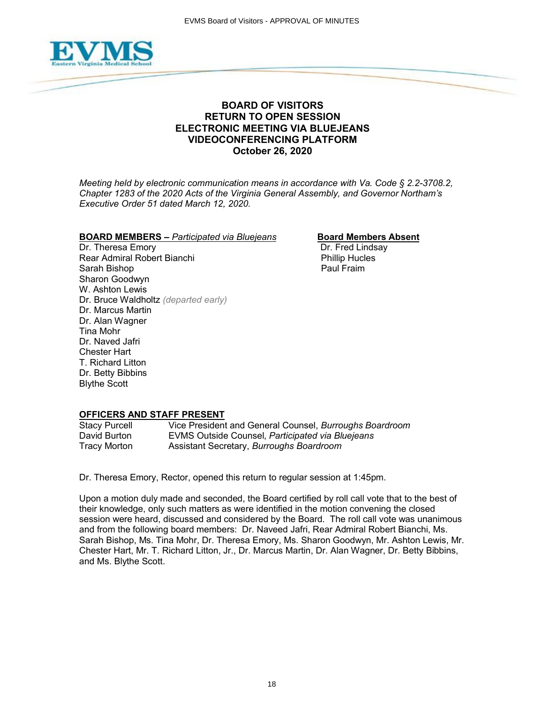

# **BOARD OF VISITORS RETURN TO OPEN SESSION ELECTRONIC MEETING VIA BLUEJEANS VIDEOCONFERENCING PLATFORM October 26, 2020**

*Meeting held by electronic communication means in accordance with Va. Code § 2.2-3708.2, Chapter 1283 of the 2020 Acts of the Virginia General Assembly, and Governor Northam's Executive Order 51 dated March 12, 2020.*

### **BOARD MEMBERS –** *Participated via Bluejeans* **Board Members Absent**

Rear Admiral Robert Bianchi **Phillip Hucles**<br>
Sarah Bishop Phillip Hucles<br>
Paul Fraim Sarah Bishop Sharon Goodwyn W. Ashton Lewis Dr. Bruce Waldholtz *(departed early)* Dr. Marcus Martin Dr. Alan Wagner Tina Mohr Dr. Naved Jafri Chester Hart T. Richard Litton Dr. Betty Bibbins Blythe Scott

Dr. Theresa Emory **Dr. Fred Lindsay** 

### **OFFICERS AND STAFF PRESENT**

Stacy Purcell Vice President and General Counsel, *Burroughs Boardroom* **EVMS Outside Counsel, Participated via Bluejeans** Tracy Morton Assistant Secretary, *Burroughs Boardroom*

Dr. Theresa Emory, Rector, opened this return to regular session at 1:45pm.

Upon a motion duly made and seconded, the Board certified by roll call vote that to the best of their knowledge, only such matters as were identified in the motion convening the closed session were heard, discussed and considered by the Board. The roll call vote was unanimous and from the following board members: Dr. Naveed Jafri, Rear Admiral Robert Bianchi, Ms. Sarah Bishop, Ms. Tina Mohr, Dr. Theresa Emory, Ms. Sharon Goodwyn, Mr. Ashton Lewis, Mr. Chester Hart, Mr. T. Richard Litton, Jr., Dr. Marcus Martin, Dr. Alan Wagner, Dr. Betty Bibbins, and Ms. Blythe Scott.